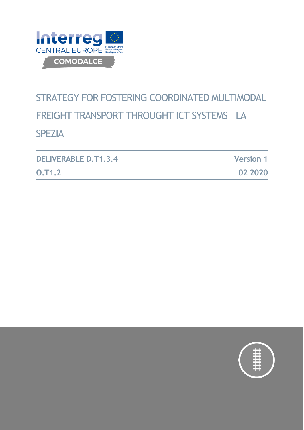

# STRATEGY FOR FOSTERING COORDINATED MULTIMODAL FREIGHT TRANSPORT THROUGHT ICT SYSTEMS – LA SPEZIA

| <b>DELIVERABLE D.T1.3.4</b> | <b>Version 1</b> |
|-----------------------------|------------------|
| <b>O.T1.2</b>               | 02 2020          |

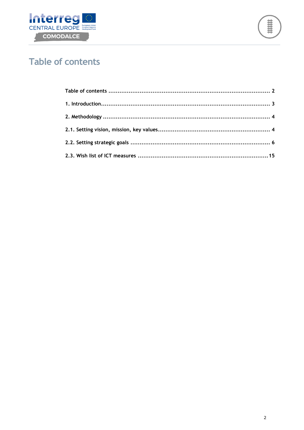



# <span id="page-1-0"></span>**Table of contents**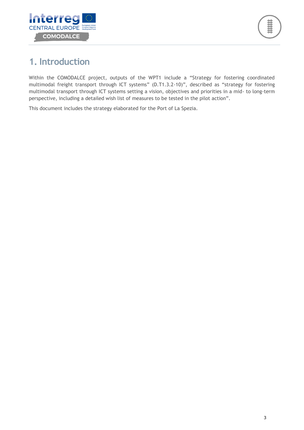

# <span id="page-2-0"></span>**1. Introduction**

Within the COMODALCE project, outputs of the WPT1 include a "Strategy for fostering coordinated multimodal freight transport through ICT systems" (D.T1.3.2-10)", described as "strategy for fostering multimodal transport through ICT systems setting a vision, objectives and priorities in a mid- to long-term perspective, including a detailed wish list of measures to be tested in the pilot action".

This document includes the strategy elaborated for the Port of La Spezia.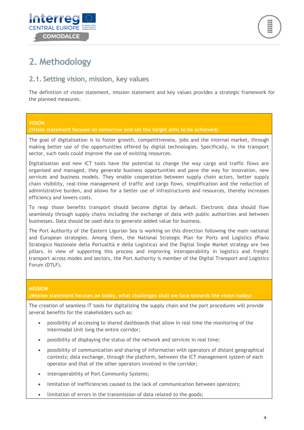



# <span id="page-3-0"></span>**2. Methodology**

### <span id="page-3-1"></span>**2.1. Setting vision, mission, key values**

The definition of vision statement, mission statement and key values provides a strategic framework for the planned measures.

#### **VISION**

#### **(Vision statement focuses on tomorrow and set the target aims to be achieved)**

The goal of digitalisation is to foster growth, competitiveness, jobs and the internal market, through making better use of the opportunities offered by digital technologies. Specifically, in the transport sector, such tools could improve the use of existing resources.

Digitalisation and new ICT tools have the potential to change the way cargo and traffic flows are organised and managed, they generate business opportunities and pave the way for innovation, new services and business models. They enable cooperation between supply chain actors, better supply chain visibility, real-time management of traffic and cargo flows, simplification and the reduction of administrative burden, and allows for a better use of infrastructures and resources, thereby increases efficiency and lowers costs.

To reap those benefits transport should become digital by default. Electronic data should flow seamlessly through supply chains including the exchange of data with public authorities and between businesses. Data should be used data to generate added value for business.

The Port Authority of the Eastern Ligurian Sea is working on this direction following the main national and European strategies. Among them, the National Strategic Plan for Ports and Logistics (Piano Strategico Nazionale della Portualità e della Logistica) and the Digital Single Market strategy are two pillars. In view of supporting this process and improving interoperability in logistics and freight transport across modes and sectors, the Port Authority is member of the Digital Transport and Logistics Forum (DTLF).

#### **MISSION**

#### **(Mission statement focuses on today, what challenges shall we face towards the vision today)**

The creation of seamless IT tools for digitalizing the supply chain and the port procedures will provide several benefits for the stakeholders such as:

- possibility of accessing to shared dashboards that allow in real time the monitoring of the Intermodal Unit long the entire corridor;
- possibility of displaying the status of the network and services in real time;
- possibility of communication and sharing of information with operators of distant geographical contexts; data exchange, through the platform, between the ICT management system of each operator and that of the other operators involved in the corridor;
- interoperability of Port Community Systems;
- limitation of inefficiencies caused to the lack of communication between operators;
- limitation of errors in the transmission of data related to the goods;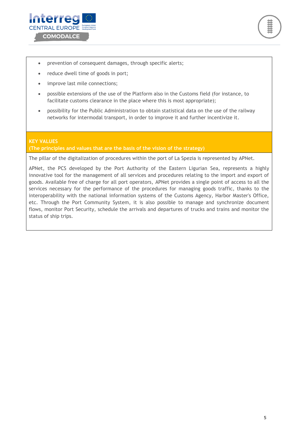



- prevention of consequent damages, through specific alerts;
- reduce dwell time of goods in port;
- improve last mile connections;
- possible extensions of the use of the Platform also in the Customs field (for instance, to facilitate customs clearance in the place where this is most appropriate);
- possibility for the Public Administration to obtain statistical data on the use of the railway networks for intermodal transport, in order to improve it and further incentivize it.

#### **KEY VALUES (The principles and values that are the basis of the vision of the strategy)**

The pillar of the digitalization of procedures within the port of La Spezia is represented by APNet.

APNet, the PCS developed by the Port Authority of the Eastern Ligurian Sea, represents a highly innovative tool for the management of all services and procedures relating to the import and export of goods. Available free of charge for all port operators, APNet provides a single point of access to all the services necessary for the performance of the procedures for managing goods traffic, thanks to the interoperability with the national information systems of the Customs Agency, Harbor Master's Office, etc. Through the Port Community System, it is also possible to manage and synchronize document flows, monitor Port Security, schedule the arrivals and departures of trucks and trains and monitor the status of ship trips.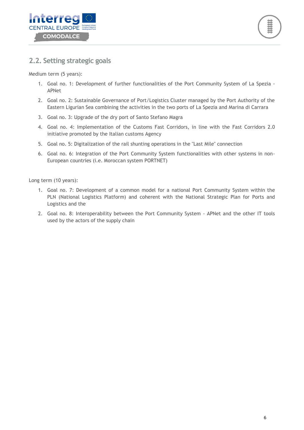



### <span id="page-5-0"></span>**2.2. Setting strategic goals**

Medium term (5 years):

- 1. Goal no. 1: Development of further functionalities of the Port Community System of La Spezia APNet
- 2. Goal no. 2: Sustainable Governance of Port/Logistics Cluster managed by the Port Authority of the Eastern Ligurian Sea combining the activities in the two ports of La Spezia and Marina di Carrara
- 3. Goal no. 3: Upgrade of the dry port of Santo Stefano Magra
- 4. Goal no. 4: Implementation of the Customs Fast Corridors, in line with the Fast Corridors 2.0 initiative promoted by the Italian customs Agency
- 5. Goal no. 5: Digitalization of the rail shunting operations in the "Last Mile" connection
- 6. Goal no. 6: Integration of the Port Community System functionalities with other systems in non-European countries (i.e. Moroccan system PORTNET)

Long term (10 years):

- 1. Goal no. 7: Development of a common model for a national Port Community System within the PLN (National Logistics Platform) and coherent with the National Strategic Plan for Ports and Logistics and the
- 2. Goal no. 8: Interoperability between the Port Community System APNet and the other IT tools used by the actors of the supply chain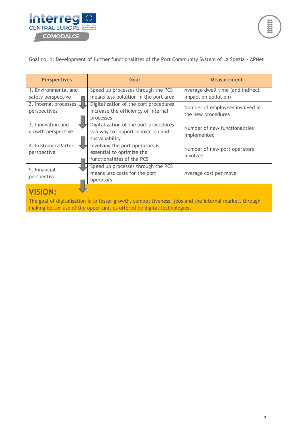

Goal no. 1: Development of further functionalities of the Port Community System of La Spezia - APNet

| <b>Perspectives</b>                                                                                                                                                               | Goal                                  | <b>Measurement</b>               |  |
|-----------------------------------------------------------------------------------------------------------------------------------------------------------------------------------|---------------------------------------|----------------------------------|--|
| 1. Environmental and                                                                                                                                                              | Speed up processes through the PCS    | Average dwell time (and indirect |  |
| safety perspective                                                                                                                                                                | means less pollution in the port area | impact on pollution)             |  |
| 2. Internal processes                                                                                                                                                             | Digitalization of the port procedures | Number of employees involved in  |  |
| perspectives                                                                                                                                                                      | increase the efficiency of internal   | the new procedures               |  |
|                                                                                                                                                                                   | processes                             |                                  |  |
| 3. Innovation and                                                                                                                                                                 | Digitalization of the port procedures | Number of new functionalities    |  |
| growth perspective                                                                                                                                                                | is a way to support innovation and    |                                  |  |
|                                                                                                                                                                                   | sustainability                        | implemented                      |  |
| 4. Customer/Partner                                                                                                                                                               | Involving the port operators is       | Number of new port operators     |  |
| perspective                                                                                                                                                                       | essential to optimize the             | involved                         |  |
|                                                                                                                                                                                   | functionalities of the PCS            |                                  |  |
| 5. Financial                                                                                                                                                                      | Speed up processes through the PCS    |                                  |  |
|                                                                                                                                                                                   | means less costs for the port         | Average cost per move            |  |
| perspective                                                                                                                                                                       | operators                             |                                  |  |
| <b>VISION:</b>                                                                                                                                                                    |                                       |                                  |  |
| The goal of digitalisation is to foster growth, competitiveness, jobs and the internal market, through<br>making better use of the opportunities offered by digital technologies. |                                       |                                  |  |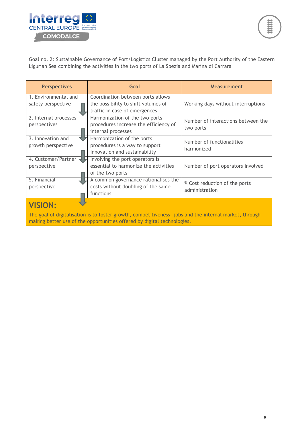

Goal no. 2: Sustainable Governance of Port/Logistics Cluster managed by the Port Authority of the Eastern Ligurian Sea combining the activities in the two ports of La Spezia and Marina di Carrara

| <b>Perspectives</b>                                                                                                                                                                                 | Goal                                                                                                      | <b>Measurement</b>                              |  |
|-----------------------------------------------------------------------------------------------------------------------------------------------------------------------------------------------------|-----------------------------------------------------------------------------------------------------------|-------------------------------------------------|--|
| 1. Environmental and<br>safety perspective                                                                                                                                                          | Coordination between ports allows<br>the possibility to shift volumes of<br>traffic in case of emergences | Working days without interruptions              |  |
| 2. Internal processes<br>perspectives                                                                                                                                                               | Harmonization of the two ports<br>procedures increase the efficiency of<br>internal processes             | Number of interactions between the<br>two ports |  |
| 3. Innovation and<br>growth perspective                                                                                                                                                             | Harmonization of the ports<br>procedures is a way to support<br>innovation and sustainability             | Number of functionalities<br>harmonized         |  |
| 4. Customer/Partner<br>perspective                                                                                                                                                                  | Involving the port operators is<br>essential to harmonize the activities<br>of the two ports              | Number of port operators involved               |  |
| 5. Financial<br>perspective                                                                                                                                                                         | A common governance rationalises the<br>costs without doubling of the same<br>functions                   | % Cost reduction of the ports<br>administration |  |
| <b>VISION:</b><br>The goal of digitalisation is to foster growth, competitiveness, jobs and the internal market, through<br>making better use of the opportunities offered by digital technologies. |                                                                                                           |                                                 |  |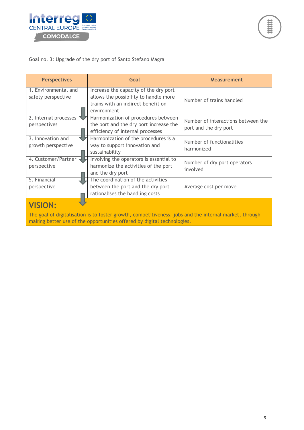

#### Goal no. 3: Upgrade of the dry port of Santo Stefano Magra

| <b>Perspectives</b>                                                                                                      | Goal                                                                                                                                | <b>Measurement</b>                                          |  |
|--------------------------------------------------------------------------------------------------------------------------|-------------------------------------------------------------------------------------------------------------------------------------|-------------------------------------------------------------|--|
| 1. Environmental and<br>safety perspective                                                                               | Increase the capacity of the dry port<br>allows the possibility to handle more<br>trains with an indirect benefit on<br>environment | Number of trains handled                                    |  |
| 2. Internal processes<br>perspectives                                                                                    | Harmonization of procedures between<br>the port and the dry port increase the<br>efficiency of internal processes                   | Number of interactions between the<br>port and the dry port |  |
| 3. Innovation and<br>growth perspective                                                                                  | Harmonization of the procedures is a<br>way to support innovation and<br>sustainability                                             | Number of functionalities<br>harmonized                     |  |
| 4. Customer/Partner<br>perspective                                                                                       | Involving the operators is essential to<br>harmonize the activities of the port<br>and the dry port                                 | Number of dry port operators<br>involved                    |  |
| 5. Financial<br>perspective                                                                                              | The coordination of the activities<br>between the port and the dry port<br>rationalises the handling costs                          | Average cost per move                                       |  |
| <b>VISION:</b><br>The goal of digitalisation is to foster growth, competitiveness, jobs and the internal market, through |                                                                                                                                     |                                                             |  |

making better use of the opportunities offered by digital technologies.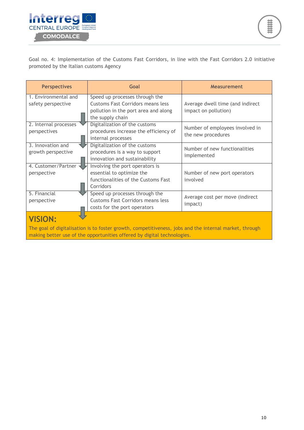

Goal no. 4: Implementation of the Customs Fast Corridors, in line with the Fast Corridors 2.0 initiative promoted by the Italian customs Agency

| <b>Perspectives</b>                        | Goal                                                                       | <b>Measurement</b>               |  |
|--------------------------------------------|----------------------------------------------------------------------------|----------------------------------|--|
| 1. Environmental and<br>safety perspective | Speed up processes through the<br><b>Customs Fast Corridors means less</b> | Average dwell time (and indirect |  |
|                                            | pollution in the port area and along<br>the supply chain                   | impact on pollution)             |  |
| 2. Internal processes                      | Digitalization of the customs                                              | Number of employees involved in  |  |
| perspectives                               | procedures increase the efficiency of                                      | the new procedures               |  |
|                                            | internal processes                                                         |                                  |  |
| 3. Innovation and                          | Digitalization of the customs                                              | Number of new functionalities    |  |
| growth perspective                         | procedures is a way to support                                             | implemented                      |  |
|                                            | innovation and sustainability                                              |                                  |  |
| 4. Customer/Partner                        | Involving the port operators is                                            |                                  |  |
| perspective                                | essential to optimize the                                                  | Number of new port operators     |  |
|                                            | functionalities of the Customs Fast                                        | involved                         |  |
|                                            | Corridors                                                                  |                                  |  |
| 5. Financial                               | Speed up processes through the                                             |                                  |  |
| perspective                                | <b>Customs Fast Corridors means less</b>                                   | Average cost per move (indirect  |  |
|                                            | costs for the port operators                                               | impact)                          |  |
| <b>VISION:</b>                             |                                                                            |                                  |  |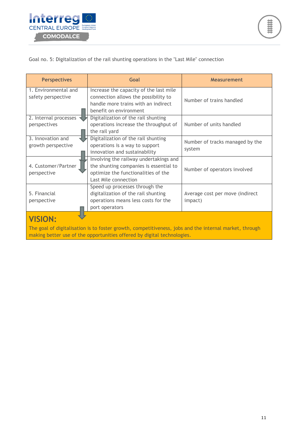

#### Goal no. 5: Digitalization of the rail shunting operations in the "Last Mile" connection

| <b>Perspectives</b>                        | Goal                                                                                                                                            | <b>Measurement</b>                         |
|--------------------------------------------|-------------------------------------------------------------------------------------------------------------------------------------------------|--------------------------------------------|
| 1. Environmental and<br>safety perspective | Increase the capacity of the last mile<br>connection allows the possibility to<br>handle more trains with an indirect<br>benefit on environment | Number of trains handled                   |
| 2. Internal processes<br>perspectives      | Digitalization of the rail shunting<br>operations increase the throughput of<br>the rail yard                                                   | Number of units handled                    |
| 3. Innovation and<br>growth perspective    | Digitalization of the rail shunting<br>operations is a way to support<br>innovation and sustainability                                          | Number of tracks managed by the<br>system  |
| 4. Customer/Partner<br>perspective         | Involving the railway undertakings and<br>the shunting companies is essential to<br>optimize the functionalities of the<br>Last Mile connection | Number of operators involved               |
| 5. Financial<br>perspective                | Speed up processes through the<br>digitalization of the rail shunting<br>operations means less costs for the<br>port operators                  | Average cost per move (indirect<br>impact) |
| <b>VISION:</b>                             |                                                                                                                                                 |                                            |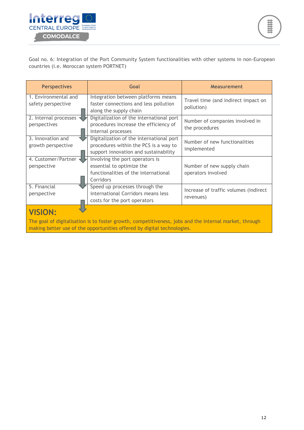

Goal no. 6: Integration of the Port Community System functionalities with other systems in non-European countries (i.e. Moroccan system PORTNET)

| <b>Perspectives</b>                        | Goal                                                                                                                       | <b>Measurement</b>                                 |  |
|--------------------------------------------|----------------------------------------------------------------------------------------------------------------------------|----------------------------------------------------|--|
| 1. Environmental and<br>safety perspective | Integration between platforms means<br>faster connections and less pollution<br>along the supply chain                     | Travel time (and indirect impact on<br>pollution)  |  |
| 2. Internal processes<br>perspectives      | Digitalization of the international port<br>procedures increase the efficiency of<br>internal processes                    | Number of companies involved in<br>the procedures  |  |
| 3. Innovation and<br>growth perspective    | Digitalization of the international port<br>procedures within the PCS is a way to<br>support innovation and sustainability | Number of new functionalities<br>implemented       |  |
| 4. Customer/Partner<br>perspective         | Involving the port operators is<br>essential to optimize the<br>functionalities of the international<br>Corridors          | Number of new supply chain<br>operators involved   |  |
| 5. Financial<br>perspective                | Speed up processes through the<br>international Corridors means less<br>costs for the port operators                       | Increase of traffic volumes (indirect<br>revenues) |  |
| <b>VISION:</b>                             |                                                                                                                            |                                                    |  |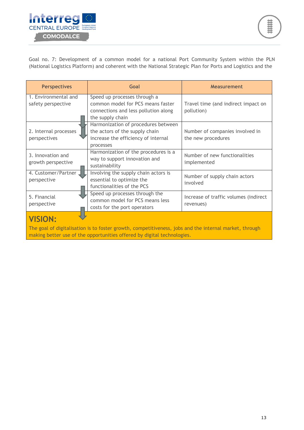

Goal no. 7: Development of a common model for a national Port Community System within the PLN (National Logistics Platform) and coherent with the National Strategic Plan for Ports and Logistics and the

| <b>Perspectives</b>                        | Goal                                                                                                                          | <b>Measurement</b>                                    |  |
|--------------------------------------------|-------------------------------------------------------------------------------------------------------------------------------|-------------------------------------------------------|--|
| 1. Environmental and<br>safety perspective | Speed up processes through a<br>common model for PCS means faster<br>connections and less pollution along<br>the supply chain | Travel time (and indirect impact on<br>pollution)     |  |
| 2. Internal processes<br>perspectives      | Harmonization of procedures between<br>the actors of the supply chain<br>increase the efficiency of internal<br>processes     | Number of companies involved in<br>the new procedures |  |
| 3. Innovation and<br>growth perspective    | Harmonization of the procedures is a<br>way to support innovation and<br>sustainability                                       | Number of new functionalities<br>implemented          |  |
| 4. Customer/Partner<br>perspective         | Involving the supply chain actors is<br>essential to optimize the<br>functionalities of the PCS                               | Number of supply chain actors<br>involved             |  |
| 5. Financial<br>perspective                | Speed up processes through the<br>common model for PCS means less<br>costs for the port operators                             | Increase of traffic volumes (indirect<br>revenues)    |  |
| <b>VISION:</b>                             |                                                                                                                               |                                                       |  |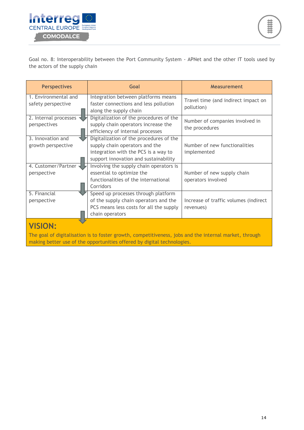

Goal no. 8: Interoperability between the Port Community System - APNet and the other IT tools used by the actors of the supply chain

| <b>Perspectives</b>   | Goal                                    | <b>Measurement</b>                    |  |
|-----------------------|-----------------------------------------|---------------------------------------|--|
| 1. Environmental and  | Integration between platforms means     | Travel time (and indirect impact on   |  |
| safety perspective    | faster connections and less pollution   | pollution)                            |  |
|                       | along the supply chain                  |                                       |  |
| 2. Internal processes | Digitalization of the procedures of the | Number of companies involved in       |  |
| perspectives          | supply chain operators increase the     | the procedures                        |  |
|                       | efficiency of internal processes        |                                       |  |
| 3. Innovation and     | Digitalization of the procedures of the |                                       |  |
| growth perspective    | supply chain operators and the          | Number of new functionalities         |  |
|                       | integration with the PCS is a way to    | implemented                           |  |
|                       | support innovation and sustainability   |                                       |  |
| 4. Customer/Partner   | Involving the supply chain operators is |                                       |  |
| perspective           | essential to optimize the               | Number of new supply chain            |  |
|                       | functionalities of the international    | operators involved                    |  |
|                       | Corridors                               |                                       |  |
| 5. Financial          | Speed up processes through platform     |                                       |  |
| perspective           | of the supply chain operators and the   | Increase of traffic volumes (indirect |  |
|                       | PCS means less costs for all the supply | revenues)                             |  |
|                       | chain operators                         |                                       |  |
| <b>VISION:</b>        |                                         |                                       |  |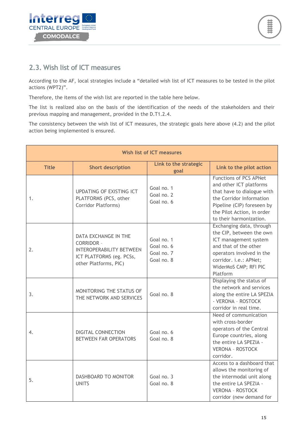



### <span id="page-14-0"></span>**2.3. Wish list of ICT measures**

According to the AF, local strategies include a "detailed wish list of ICT measures to be tested in the pilot actions (WPT2)".

Therefore, the items of the wish list are reported in the table here below.

The list is realized also on the basis of the identification of the needs of the stakeholders and their previous mapping and management, provided in the D.T1.2.4.

The consistency between the wish list of ICT measures, the strategic goals here above (4.2) and the pilot action being implemented is ensured.

| Wish list of ICT measures |                                                                                                                                   |                                                      |                                                                                                                                                                                                           |
|---------------------------|-----------------------------------------------------------------------------------------------------------------------------------|------------------------------------------------------|-----------------------------------------------------------------------------------------------------------------------------------------------------------------------------------------------------------|
| <b>Title</b>              | <b>Short description</b>                                                                                                          | Link to the strategic<br>goal                        | Link to the pilot action                                                                                                                                                                                  |
| 1.                        | UPDATING OF EXISTING ICT<br>PLATFORMS (PCS, other<br>Corridor Platforms)                                                          | Goal no. 1<br>Goal no. 2<br>Goal no. 6               | <b>Functions of PCS APNet</b><br>and other ICT platforms<br>that have to dialogue with<br>the Corridor Information<br>Pipeline (CIP) foreseen by<br>the Pilot Action, in order<br>to their harmonization. |
| 2.                        | DATA EXCHANGE IN THE<br><b>CORRIDOR -</b><br><b>INTEROPERABILITY BETWEEN</b><br>ICT PLATFORMS (eg. PCSs,<br>other Platforms, PIC) | Goal no. 1<br>Goal no. 6<br>Goal no. 7<br>Goal no. 8 | Exchanging data, through<br>the CIP, between the own<br>ICT management system<br>and that of the other<br>operators involved in the<br>corridor. i.e.: APNet;<br>WiderMoS CMP; RFI PIC<br>Platform        |
| 3.                        | MONITORING THE STATUS OF<br>THE NETWORK AND SERVICES                                                                              | Goal no. 8                                           | Displaying the status of<br>the network and services<br>along the entire LA SPEZIA<br>- VERONA - ROSTOCK<br>corridor in real time.                                                                        |
| 4.                        | DIGITAL CONNECTION<br><b>BETWEEN FAR OPERATORS</b>                                                                                | Goal no. 6<br>Goal no. 8                             | Need of communication<br>with cross-border<br>operators of the Central<br>Europe countries, along<br>the entire LA SPEZIA -<br><b>VERONA - ROSTOCK</b><br>corridor.                                       |
| 5.                        | DASHBOARD TO MONITOR<br><b>UNITS</b>                                                                                              | Goal no. 3<br>Goal no. 8                             | Access to a dashboard that<br>allows the monitoring of<br>the intermodal unit along<br>the entire LA SPEZIA -<br><b>VERONA - ROSTOCK</b><br>corridor (new demand for                                      |